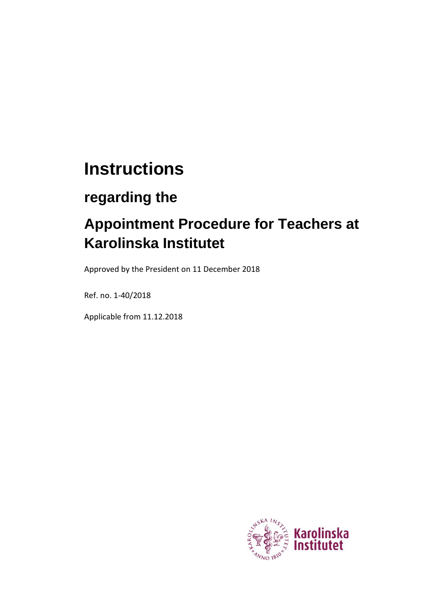# **Instructions**

# **regarding the**

# **Appointment Procedure for Teachers at Karolinska Institutet**

Approved by the President on 11 December 2018

Ref. no. 1-40/2018

Applicable from 11.12.2018

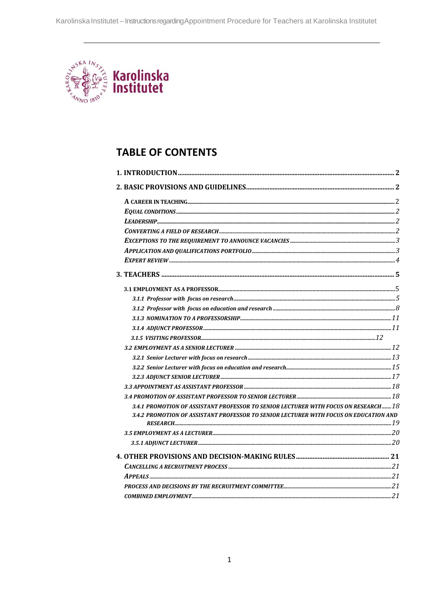

# **TABLE OF CONTENTS**

| 3.4.1 PROMOTION OF ASSISTANT PROFESSOR TO SENIOR LECTURER WITH FOCUS ON RESEARCH 18<br>3.4.2 PROMOTION OF ASSISTANT PROFESSOR TO SENIOR LECTURER WITH FOCUS ON EDUCATION AND |  |
|------------------------------------------------------------------------------------------------------------------------------------------------------------------------------|--|
|                                                                                                                                                                              |  |
|                                                                                                                                                                              |  |
|                                                                                                                                                                              |  |
|                                                                                                                                                                              |  |
|                                                                                                                                                                              |  |
|                                                                                                                                                                              |  |
|                                                                                                                                                                              |  |
|                                                                                                                                                                              |  |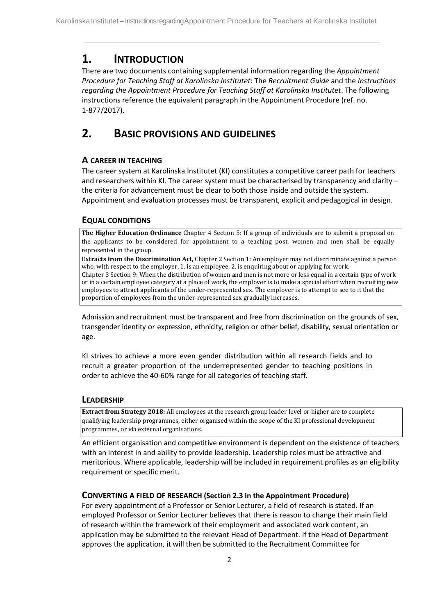## **1. INTRODUCTION**

There are two documents containing supplemental information regarding the *Appointment Procedure for Teaching Staff at Karolinska Institutet*: The *Recruitment Guide* and the *Instructions regarding the Appointment Procedure for Teaching Staff at Karolinska Institutet*. The following instructions reference the equivalent paragraph in the Appointment Procedure (ref. no. 1-877/2017).

## <span id="page-2-0"></span>**2. BASIC PROVISIONS AND GUIDELINES**

## <span id="page-2-1"></span>**A CAREER IN TEACHING**

The career system at Karolinska Institutet (KI) constitutes a competitive career path for teachers and researchers within KI. The career system must be characterised by transparency and clarity the criteria for advancement must be clear to both those inside and outside the system. Appointment and evaluation processes must be transparent, explicit and pedagogical in design.

## <span id="page-2-2"></span>**EQUAL CONDITIONS**

**The Higher Education Ordinance** Chapter 4 Section 5: If a group of individuals are to submit a proposal on the applicants to be considered for appointment to a teaching post, women and men shall be equally represented in the group.

**Extracts from the Discrimination Act,** Chapter 2 Section 1: An employer may not discriminate against a person who, with respect to the employer, 1. is an employee, 2. is enquiring about or applying for work. Chapter 3 Section 9: When the distribution of women and men is not more or less equal in a certain type of work or in a certain employee category at a place of work, the employer is to make a special effort when recruiting new employees to attract applicants of the under-represented sex. The employer is to attempt to see to it that the proportion of employees from the under-represented sex gradually increases.

Admission and recruitment must be transparent and free from discrimination on the grounds of sex, transgender identity or expression, ethnicity, religion or other belief, disability, sexual orientation or age.

KI strives to achieve a more even gender distribution within all research fields and to recruit a greater proportion of the underrepresented gender to teaching positions in order to achieve the 40-60% range for all categories of teaching staff.

## <span id="page-2-3"></span>**LEADERSHIP**

**Extract from Strategy 2018:** All employees at the research group leader level or higher are to complete qualifying leadership programmes, either organised within the scope of the KI professional development programmes, or via external organisations.

An efficient organisation and competitive environment is dependent on the existence of teachers with an interest in and ability to provide leadership. Leadership roles must be attractive and meritorious. Where applicable, leadership will be included in requirement profiles as an eligibility requirement or specific merit.

## **CONVERTING A FIELD OF RESEARCH (Section 2.3 in the Appointment Procedure)**

For every appointment of a Professor or Senior Lecturer, a field of research is stated. If an employed Professor or Senior Lecturer believes that there is reason to change their main field of research within the framework of their employment and associated work content, an application may be submitted to the relevant Head of Department. If the Head of Department approves the application, it will then be submitted to the Recruitment Committee for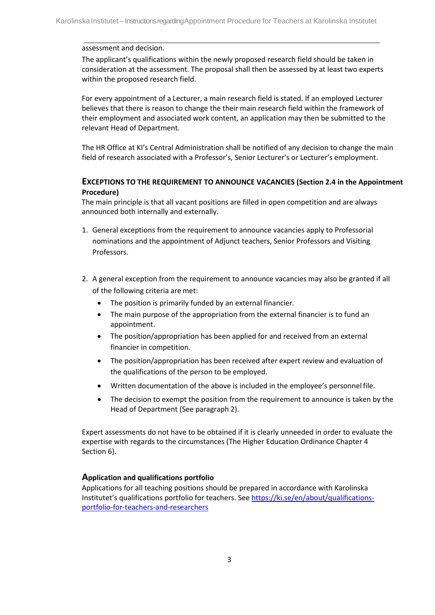#### assessment and decision.

The applicant's qualifications within the newly proposed research field should be taken in consideration at the assessment. The proposal shall then be assessed by at least two experts within the proposed research field.

For every appointment of a Lecturer, a main research field is stated. If an employed Lecturer believes that there is reason to change the their main research field within the framework of their employment and associated work content, an application may then be submitted to the relevant Head of Department.

The HR Office at KI's Central Administration shall be notified of any decision to change the main field of research associated with a Professor's, Senior Lecturer's or Lecturer's employment.

#### <span id="page-3-0"></span>**EXCEPTIONS TO THE REQUIREMENT TO ANNOUNCE VACANCIES (Section 2.4 in the Appointment Procedure)**

The main principle is that all vacant positions are filled in open competition and are always announced both internally and externally.

- 1. General exceptions from the requirement to announce vacancies apply to Professorial nominations and the appointment of Adjunct teachers, Senior Professors and Visiting Professors.
- 2. A general exception from the requirement to announce vacancies may also be granted if all of the following criteria are met:
	- The position is primarily funded by an external financier.
	- The main purpose of the appropriation from the external financier is to fund an appointment.
	- The position/appropriation has been applied for and received from an external financier in competition.
	- The position/appropriation has been received after expert review and evaluation of the qualifications of the person to be employed.
	- Written documentation of the above is included in the employee's personnel file.
	- The decision to exempt the position from the requirement to announce is taken by the Head of Department (See paragraph 2).

Expert assessments do not have to be obtained if it is clearly unneeded in order to evaluate the expertise with regards to the circumstances (The Higher Education Ordinance Chapter 4 Section 6).

## <span id="page-3-1"></span>**Application and qualifications portfolio**

Applications for all teaching positions should be prepared in accordance with Karolinska Institutet's qualifications portfolio for teachers. Se[e https://ki.se/en/about/qualifications](https://ki.se/en/about/qualifications-portfolio-for-teachers-and-researchers)[portfolio-for-teachers-and-researchers](https://ki.se/en/about/qualifications-portfolio-for-teachers-and-researchers)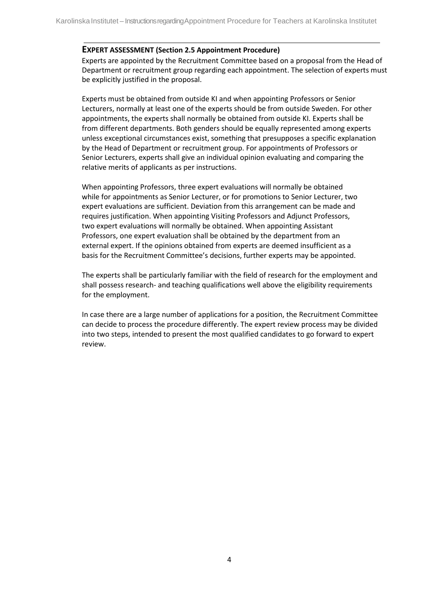#### <span id="page-4-0"></span>**EXPERT ASSESSMENT (Section 2.5 Appointment Procedure)**

Experts are appointed by the Recruitment Committee based on a proposal from the Head of Department or recruitment group regarding each appointment. The selection of experts must be explicitly justified in the proposal.

Experts must be obtained from outside KI and when appointing Professors or Senior Lecturers, normally at least one of the experts should be from outside Sweden. For other appointments, the experts shall normally be obtained from outside KI. Experts shall be from different departments. Both genders should be equally represented among experts unless exceptional circumstances exist, something that presupposes a specific explanation by the Head of Department or recruitment group. For appointments of Professors or Senior Lecturers, experts shall give an individual opinion evaluating and comparing the relative merits of applicants as per instructions.

When appointing Professors, three expert evaluations will normally be obtained while for appointments as Senior Lecturer, or for promotions to Senior Lecturer, two expert evaluations are sufficient. Deviation from this arrangement can be made and requires justification. When appointing Visiting Professors and Adjunct Professors, two expert evaluations will normally be obtained. When appointing Assistant Professors, one expert evaluation shall be obtained by the department from an external expert. If the opinions obtained from experts are deemed insufficient as a basis for the Recruitment Committee's decisions, further experts may be appointed.

The experts shall be particularly familiar with the field of research for the employment and shall possess research- and teaching qualifications well above the eligibility requirements for the employment.

In case there are a large number of applications for a position, the Recruitment Committee can decide to process the procedure differently. The expert review process may be divided into two steps, intended to present the most qualified candidates to go forward to expert review.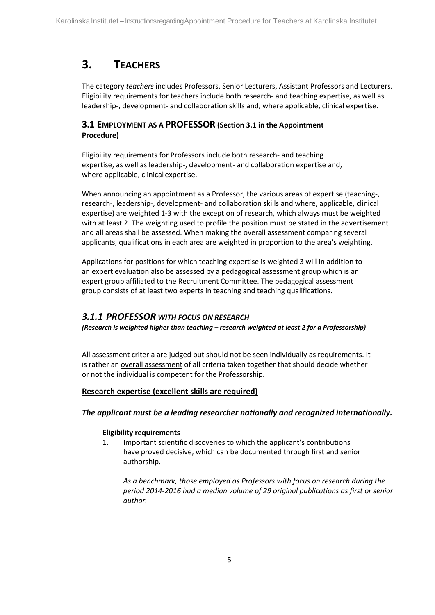# <span id="page-5-0"></span>**3. TEACHERS**

The category *teachers* includes Professors, Senior Lecturers, Assistant Professors and Lecturers. Eligibility requirements for teachers include both research- and teaching expertise, as well as leadership-, development- and collaboration skills and, where applicable, clinical expertise.

## <span id="page-5-1"></span>**3.1 EMPLOYMENT AS A PROFESSOR (Section 3.1 in the Appointment Procedure)**

Eligibility requirements for Professors include both research- and teaching expertise, as well as leadership-, development- and collaboration expertise and, where applicable, clinical expertise.

When announcing an appointment as a Professor, the various areas of expertise (teaching-, research-, leadership-, development- and collaboration skills and where, applicable, clinical expertise) are weighted 1-3 with the exception of research, which always must be weighted with at least 2. The weighting used to profile the position must be stated in the advertisement and all areas shall be assessed. When making the overall assessment comparing several applicants, qualifications in each area are weighted in proportion to the area's weighting.

Applications for positions for which teaching expertise is weighted 3 will in addition to an expert evaluation also be assessed by a pedagogical assessment group which is an expert group affiliated to the Recruitment Committee. The pedagogical assessment group consists of at least two experts in teaching and teaching qualifications.

## <span id="page-5-2"></span>*3.1.1 PROFESSOR WITH FOCUS ON RESEARCH*

*(Research is weighted higher than teaching – research weighted at least 2 for a Professorship)*

All assessment criteria are judged but should not be seen individually as requirements. It is rather an overall assessment of all criteria taken together that should decide whether or not the individual is competent for the Professorship.

## **Research expertise (excellent skills are required)**

## *The applicant must be a leading researcher nationally and recognized internationally.*

## **Eligibility requirements**

1. Important scientific discoveries to which the applicant's contributions have proved decisive, which can be documented through first and senior authorship.

*As a benchmark, those employed as Professors with focus on research during the period 2014-2016 had a median volume of 29 original publications as first or senior author.*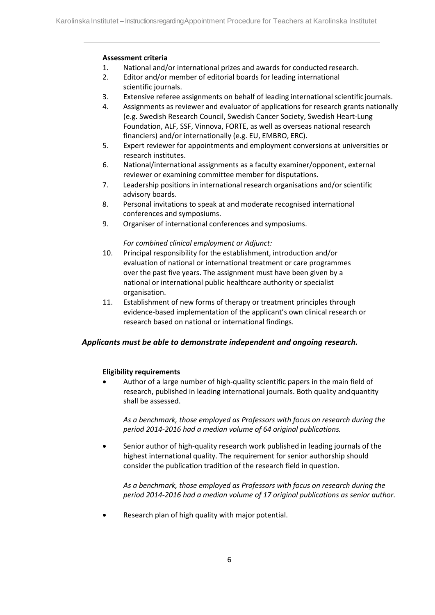- 1. National and/or international prizes and awards for conducted research.
- 2. Editor and/or member of editorial boards for leading international scientific journals.
- 3. Extensive referee assignments on behalf of leading international scientific journals.
- 4. Assignments as reviewer and evaluator of applications for research grants nationally (e.g. Swedish Research Council, Swedish Cancer Society, Swedish Heart-Lung Foundation, ALF, SSF, Vinnova, FORTE, as well as overseas national research financiers) and/or internationally (e.g. EU, EMBRO, ERC).
- 5. Expert reviewer for appointments and employment conversions at universities or research institutes.
- 6. National/international assignments as a faculty examiner/opponent, external reviewer or examining committee member for disputations.
- 7. Leadership positions in international research organisations and/or scientific advisory boards.
- 8. Personal invitations to speak at and moderate recognised international conferences and symposiums.
- 9. Organiser of international conferences and symposiums.

#### *For combined clinical employment or Adjunct:*

- 10. Principal responsibility for the establishment, introduction and/or evaluation of national or international treatment or care programmes over the past five years. The assignment must have been given by a national or international public healthcare authority or specialist organisation.
- 11. Establishment of new forms of therapy or treatment principles through evidence-based implementation of the applicant's own clinical research or research based on national or international findings.

## *Applicants must be able to demonstrate independent and ongoing research.*

## **Eligibility requirements**

Author of a large number of high-quality scientific papers in the main field of research, published in leading international journals. Both quality andquantity shall be assessed.

*As a benchmark, those employed as Professors with focus on research during the period 2014-2016 had a median volume of 64 original publications.*

• Senior author of high-quality research work published in leading journals of the highest international quality. The requirement for senior authorship should consider the publication tradition of the research field in question.

*As a benchmark, those employed as Professors with focus on research during the period 2014-2016 had a median volume of 17 original publications as senior author.*

• Research plan of high quality with major potential.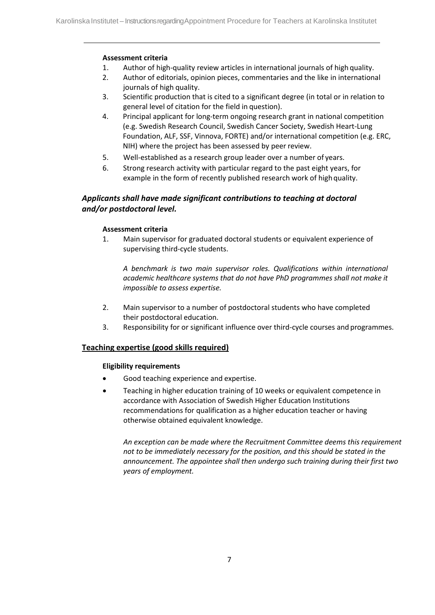- 1. Author of high-quality review articles in international journals of high quality.
- 2. Author of editorials, opinion pieces, commentaries and the like in international journals of high quality.
- 3. Scientific production that is cited to a significant degree (in total or in relation to general level of citation for the field in question).
- 4. Principal applicant for long-term ongoing research grant in national competition (e.g. Swedish Research Council, Swedish Cancer Society, Swedish Heart-Lung Foundation, ALF, SSF, Vinnova, FORTE) and/or international competition (e.g. ERC, NIH) where the project has been assessed by peer review.
- 5. Well-established as a research group leader over a number of years.
- 6. Strong research activity with particular regard to the past eight years, for example in the form of recently published research work of high quality.

## *Applicants shall have made significant contributions to teaching at doctoral and/or postdoctoral level.*

## **Assessment criteria**

1. Main supervisor for graduated doctoral students or equivalent experience of supervising third-cycle students.

*A benchmark is two main supervisor roles. Qualifications within international academic healthcare systems that do not have PhD programmes shall not make it impossible to assess expertise.*

- 2. Main supervisor to a number of postdoctoral students who have completed their postdoctoral education.
- 3. Responsibility for or significant influence over third-cycle courses and programmes.

## **Teaching expertise (good skills required)**

## **Eligibility requirements**

- Good teaching experience and expertise.
- Teaching in higher education training of 10 weeks or equivalent competence in accordance with Association of Swedish Higher Education Institutions recommendations for qualification as a higher education teacher or having otherwise obtained equivalent knowledge.

*An exception can be made where the Recruitment Committee deems this requirement not to be immediately necessary for the position, and this should be stated in the announcement. The appointee shall then undergo such training during their first two years of employment.*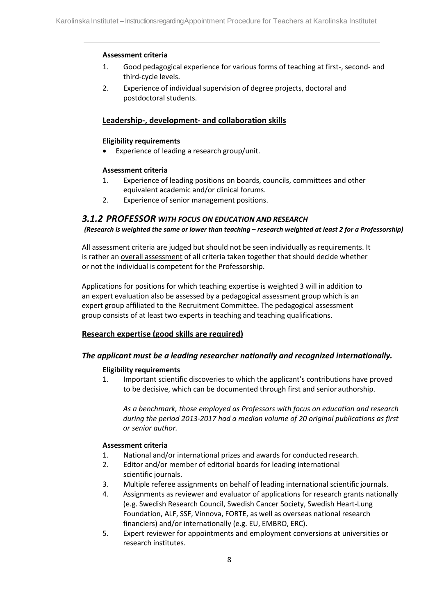- 1. Good pedagogical experience for various forms of teaching at first-, second- and third-cycle levels.
- 2. Experience of individual supervision of degree projects, doctoral and postdoctoral students.

## **Leadership-, development- and collaboration skills**

#### **Eligibility requirements**

Experience of leading a research group/unit.

#### **Assessment criteria**

- 1. Experience of leading positions on boards, councils, committees and other equivalent academic and/or clinical forums.
- 2. Experience of senior management positions.

## *3.1.2 PROFESSOR WITH FOCUS ON EDUCATION AND RESEARCH*

#### *(Research is weighted the same or lower than teaching – research weighted at least 2 for a Professorship)*

All assessment criteria are judged but should not be seen individually as requirements. It is rather an overall assessment of all criteria taken together that should decide whether or not the individual is competent for the Professorship.

Applications for positions for which teaching expertise is weighted 3 will in addition to an expert evaluation also be assessed by a pedagogical assessment group which is an expert group affiliated to the Recruitment Committee. The pedagogical assessment group consists of at least two experts in teaching and teaching qualifications.

## **Research expertise (good skills are required)**

## *The applicant must be a leading researcher nationally and recognized internationally.*

## **Eligibility requirements**

1. Important scientific discoveries to which the applicant's contributions have proved to be decisive, which can be documented through first and senior authorship.

*As a benchmark, those employed as Professors with focus on education and research during the period 2013-2017 had a median volume of 20 original publications as first or senior author.*

- 1. National and/or international prizes and awards for conducted research.
- 2. Editor and/or member of editorial boards for leading international scientific journals.
- 3. Multiple referee assignments on behalf of leading international scientific journals.
- 4. Assignments as reviewer and evaluator of applications for research grants nationally (e.g. Swedish Research Council, Swedish Cancer Society, Swedish Heart-Lung Foundation, ALF, SSF, Vinnova, FORTE, as well as overseas national research financiers) and/or internationally (e.g. EU, EMBRO, ERC).
- 5. Expert reviewer for appointments and employment conversions at universities or research institutes.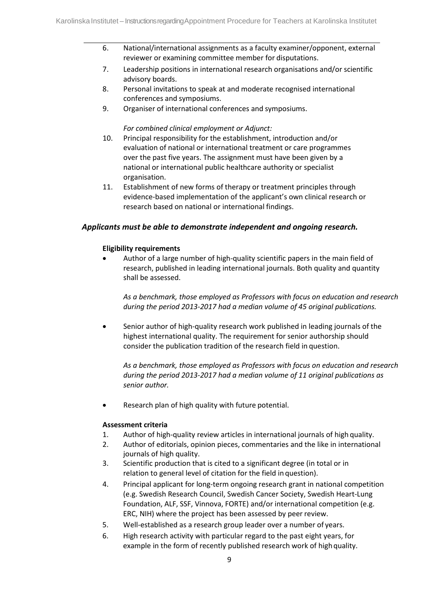- 6. National/international assignments as a faculty examiner/opponent, external reviewer or examining committee member for disputations.
- 7. Leadership positions in international research organisations and/or scientific advisory boards.
- 8. Personal invitations to speak at and moderate recognised international conferences and symposiums.
- 9. Organiser of international conferences and symposiums.

#### *For combined clinical employment or Adjunct:*

- 10. Principal responsibility for the establishment, introduction and/or evaluation of national or international treatment or care programmes over the past five years. The assignment must have been given by a national or international public healthcare authority or specialist organisation.
- 11. Establishment of new forms of therapy or treatment principles through evidence-based implementation of the applicant's own clinical research or research based on national or international findings.

#### *Applicants must be able to demonstrate independent and ongoing research.*

#### **Eligibility requirements**

• Author of a large number of high-quality scientific papers in the main field of research, published in leading international journals. Both quality and quantity shall be assessed.

*As a benchmark, those employed as Professors with focus on education and research during the period 2013-2017 had a median volume of 45 original publications.*

• Senior author of high-quality research work published in leading journals of the highest international quality. The requirement for senior authorship should consider the publication tradition of the research field in question.

*As a benchmark, those employed as Professors with focus on education and research during the period 2013-2017 had a median volume of 11 original publications as senior author.*

Research plan of high quality with future potential.

- 1. Author of high-quality review articles in international journals of high quality.
- 2. Author of editorials, opinion pieces, commentaries and the like in international journals of high quality.
- 3. Scientific production that is cited to a significant degree (in total or in relation to general level of citation for the field in question).
- 4. Principal applicant for long-term ongoing research grant in national competition (e.g. Swedish Research Council, Swedish Cancer Society, Swedish Heart-Lung Foundation, ALF, SSF, Vinnova, FORTE) and/or international competition (e.g. ERC, NIH) where the project has been assessed by peer review.
- 5. Well-established as a research group leader over a number of years.
- 6. High research activity with particular regard to the past eight years, for example in the form of recently published research work of high quality.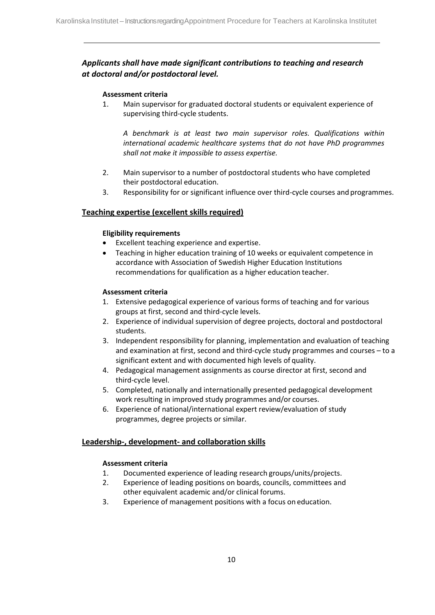## <span id="page-10-0"></span>*Applicants shall have made significant contributions to teaching and research at doctoral and/or postdoctoral level.*

#### **Assessment criteria**

1. Main supervisor for graduated doctoral students or equivalent experience of supervising third-cycle students.

*A benchmark is at least two main supervisor roles. Qualifications within international academic healthcare systems that do not have PhD programmes shall not make it impossible to assess expertise.*

- 2. Main supervisor to a number of postdoctoral students who have completed their postdoctoral education.
- 3. Responsibility for or significant influence over third-cycle courses and programmes.

## **Teaching expertise (excellent skills required)**

#### **Eligibility requirements**

- Excellent teaching experience and expertise.
- Teaching in higher education training of 10 weeks or equivalent competence in accordance with Association of Swedish Higher Education Institutions recommendations for qualification as a higher education teacher.

#### **Assessment criteria**

- 1. Extensive pedagogical experience of various forms of teaching and for various groups at first, second and third-cycle levels.
- 2. Experience of individual supervision of degree projects, doctoral and postdoctoral students.
- 3. Independent responsibility for planning, implementation and evaluation of teaching and examination at first, second and third-cycle study programmes and courses – to a significant extent and with documented high levels of quality.
- 4. Pedagogical management assignments as course director at first, second and third-cycle level.
- 5. Completed, nationally and internationally presented pedagogical development work resulting in improved study programmes and/or courses.
- 6. Experience of national/international expert review/evaluation of study programmes, degree projects or similar.

## **Leadership-, development- and collaboration skills**

- 1. Documented experience of leading research groups/units/projects.
- 2. Experience of leading positions on boards, councils, committees and other equivalent academic and/or clinical forums.
- 3. Experience of management positions with a focus on education.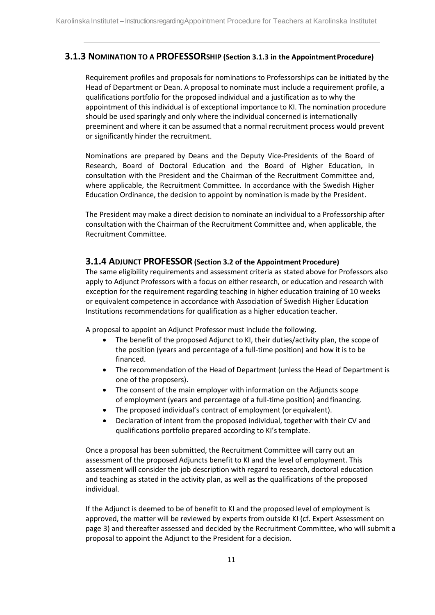## **3.1.3 NOMINATION TO A PROFESSORSHIP (Section 3.1.3 in the Appointment Procedure)**

Requirement profiles and proposals for nominations to Professorships can be initiated by the Head of Department or Dean. A proposal to nominate must include a requirement profile, a qualifications portfolio for the proposed individual and a justification as to why the appointment of this individual is of exceptional importance to KI. The nomination procedure should be used sparingly and only where the individual concerned is internationally preeminent and where it can be assumed that a normal recruitment process would prevent or significantly hinder the recruitment.

Nominations are prepared by Deans and the Deputy Vice-Presidents of the Board of Research, Board of Doctoral Education and the Board of Higher Education, in consultation with the President and the Chairman of the Recruitment Committee and, where applicable, the Recruitment Committee. In accordance with the Swedish Higher Education Ordinance, the decision to appoint by nomination is made by the President.

The President may make a direct decision to nominate an individual to a Professorship after consultation with the Chairman of the Recruitment Committee and, when applicable, the Recruitment Committee.

## **3.1.4 ADJUNCT PROFESSOR (Section 3.2 of the Appointment Procedure)**

The same eligibility requirements and assessment criteria as stated above for Professors also apply to Adjunct Professors with a focus on either research, or education and research with exception for the requirement regarding teaching in higher education training of 10 weeks or equivalent competence in accordance with Association of Swedish Higher Education Institutions recommendations for qualification as a higher education teacher.

A proposal to appoint an Adjunct Professor must include the following.

- The benefit of the proposed Adjunct to KI, their duties/activity plan, the scope of the position (years and percentage of a full-time position) and how it is to be financed.
- The recommendation of the Head of Department (unless the Head of Department is one of the proposers).
- The consent of the main employer with information on the Adjuncts scope of employment (years and percentage of a full-time position) and financing.
- The proposed individual's contract of employment (or equivalent).
- Declaration of intent from the proposed individual, together with their CV and qualifications portfolio prepared according to KI'stemplate.

Once a proposal has been submitted, the Recruitment Committee will carry out an assessment of the proposed Adjuncts benefit to KI and the level of employment. This assessment will consider the job description with regard to research, doctoral education and teaching as stated in the activity plan, as well as the qualifications of the proposed individual.

If the Adjunct is deemed to be of benefit to KI and the proposed level of employment is approved, the matter will be reviewed by experts from outside KI (cf. Expert Assessment on page 3) and thereafter assessed and decided by the Recruitment Committee, who will submit a proposal to appoint the Adjunct to the President for a decision.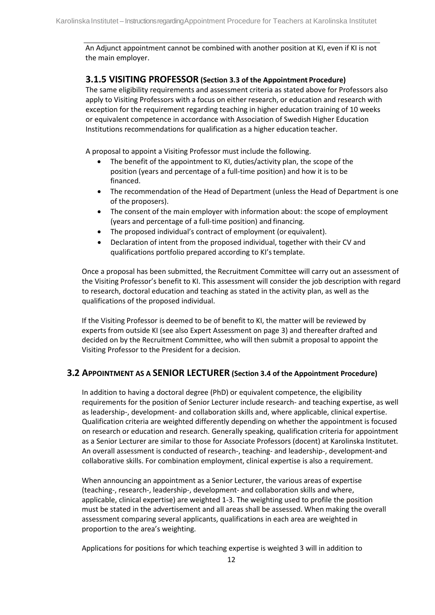An Adjunct appointment cannot be combined with another position at KI, even if KI is not the main employer.

## **3.1.5 VISITING PROFESSOR (Section 3.3 of the Appointment Procedure)**

The same eligibility requirements and assessment criteria as stated above for Professors also apply to Visiting Professors with a focus on either research, or education and research with exception for the requirement regarding teaching in higher education training of 10 weeks or equivalent competence in accordance with Association of Swedish Higher Education Institutions recommendations for qualification as a higher education teacher.

A proposal to appoint a Visiting Professor must include the following.

- The benefit of the appointment to KI, duties/activity plan, the scope of the position (years and percentage of a full-time position) and how it is to be financed.
- The recommendation of the Head of Department (unless the Head of Department is one of the proposers).
- The consent of the main employer with information about: the scope of employment (years and percentage of a full-time position) and financing.
- The proposed individual's contract of employment (or equivalent).
- Declaration of intent from the proposed individual, together with their CV and qualifications portfolio prepared according to KI'stemplate.

Once a proposal has been submitted, the Recruitment Committee will carry out an assessment of the Visiting Professor's benefit to KI. This assessment will consider the job description with regard to research, doctoral education and teaching as stated in the activity plan, as well as the qualifications of the proposed individual.

If the Visiting Professor is deemed to be of benefit to KI, the matter will be reviewed by experts from outside KI (see also Expert Assessment on page 3) and thereafter drafted and decided on by the Recruitment Committee, who will then submit a proposal to appoint the Visiting Professor to the President for a decision.

## **3.2 APPOINTMENT AS A SENIOR LECTURER (Section 3.4 of the Appointment Procedure)**

In addition to having a doctoral degree (PhD) or equivalent competence, the eligibility requirements for the position of Senior Lecturer include research- and teaching expertise, as well as leadership-, development- and collaboration skills and, where applicable, clinical expertise. Qualification criteria are weighted differently depending on whether the appointment is focused on research or education and research. Generally speaking, qualification criteria for appointment as a Senior Lecturer are similar to those for Associate Professors (docent) at Karolinska Institutet. An overall assessment is conducted of research-, teaching- and leadership-, development-and collaborative skills. For combination employment, clinical expertise is also a requirement.

When announcing an appointment as a Senior Lecturer, the various areas of expertise (teaching-, research-, leadership-, development- and collaboration skills and where, applicable, clinical expertise) are weighted 1-3. The weighting used to profile the position must be stated in the advertisement and all areas shall be assessed. When making the overall assessment comparing several applicants, qualifications in each area are weighted in proportion to the area's weighting.

Applications for positions for which teaching expertise is weighted 3 will in addition to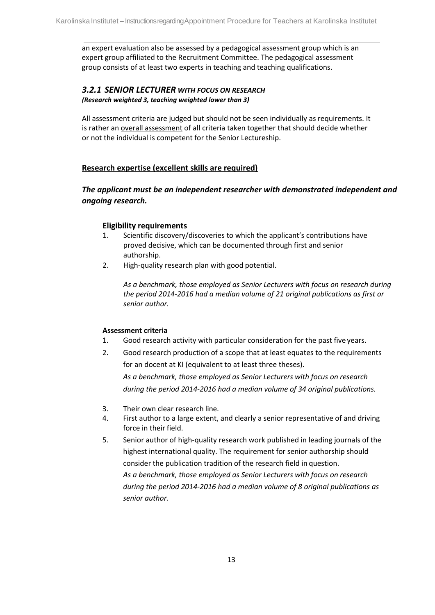an expert evaluation also be assessed by a pedagogical assessment group which is an expert group affiliated to the Recruitment Committee. The pedagogical assessment group consists of at least two experts in teaching and teaching qualifications.

## *3.2.1 SENIOR LECTURER WITH FOCUS ON RESEARCH (Research weighted 3, teaching weighted lower than 3)*

All assessment criteria are judged but should not be seen individually as requirements. It is rather an overall assessment of all criteria taken together that should decide whether or not the individual is competent for the Senior Lectureship.

## **Research expertise (excellent skills are required)**

## *The applicant must be an independent researcher with demonstrated independent and ongoing research.*

## **Eligibility requirements**

- 1. Scientific discovery/discoveries to which the applicant's contributions have proved decisive, which can be documented through first and senior authorship.
- 2. High-quality research plan with good potential.

*As a benchmark, those employed as Senior Lecturers with focus on research during the period 2014-2016 had a median volume of 21 original publications as first or senior author.*

## **Assessment criteria**

- 1. Good research activity with particular consideration for the past five years.
- 2. Good research production of a scope that at least equates to the requirements for an docent at KI (equivalent to at least three theses).

*As a benchmark, those employed as Senior Lecturers with focus on research during the period 2014-2016 had a median volume of 34 original publications.*

- 3. Their own clear research line.
- 4. First author to a large extent, and clearly a senior representative of and driving force in their field.
- 5. Senior author of high-quality research work published in leading journals of the highest international quality. The requirement for senior authorship should consider the publication tradition of the research field in question. *As a benchmark, those employed as Senior Lecturers with focus on research during the period 2014-2016 had a median volume of 8 original publications as senior author.*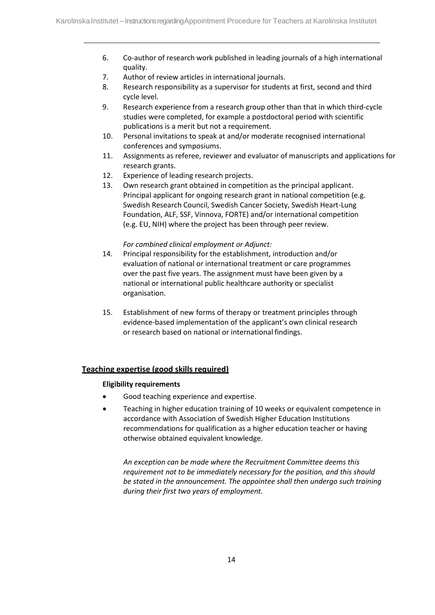- 6. Co-author of research work published in leading journals of a high international quality.
- 7. Author of review articles in international journals.
- 8. Research responsibility as a supervisor for students at first, second and third cycle level.
- 9. Research experience from a research group other than that in which third-cycle studies were completed, for example a postdoctoral period with scientific publications is a merit but not a requirement.
- 10. Personal invitations to speak at and/or moderate recognised international conferences and symposiums.
- 11. Assignments as referee, reviewer and evaluator of manuscripts and applications for research grants.
- 12. Experience of leading research projects.
- 13. Own research grant obtained in competition as the principal applicant. Principal applicant for ongoing research grant in national competition (e.g. Swedish Research Council, Swedish Cancer Society, Swedish Heart-Lung Foundation, ALF, SSF, Vinnova, FORTE) and/or international competition (e.g. EU, NIH) where the project has been through peer review.

#### *For combined clinical employment or Adjunct:*

- 14. Principal responsibility for the establishment, introduction and/or evaluation of national or international treatment or care programmes over the past five years. The assignment must have been given by a national or international public healthcare authority or specialist organisation.
- 15. Establishment of new forms of therapy or treatment principles through evidence-based implementation of the applicant's own clinical research or research based on national or international findings.

## **Teaching expertise (good skills required)**

#### **Eligibility requirements**

- Good teaching experience and expertise.
- Teaching in higher education training of 10 weeks or equivalent competence in accordance with Association of Swedish Higher Education Institutions recommendations for qualification as a higher education teacher or having otherwise obtained equivalent knowledge.

*An exception can be made where the Recruitment Committee deems this requirement not to be immediately necessary for the position, and this should be stated in the announcement. The appointee shall then undergo such training during their first two years of employment.*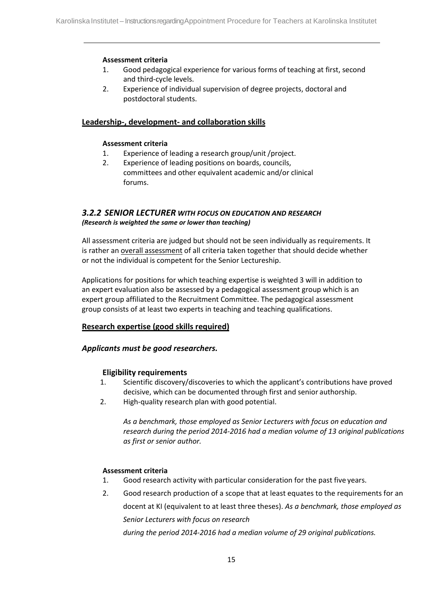- 1. Good pedagogical experience for various forms of teaching at first, second and third-cycle levels.
- 2. Experience of individual supervision of degree projects, doctoral and postdoctoral students.

## **Leadership-, development- and collaboration skills**

#### **Assessment criteria**

- 1. Experience of leading a research group/unit /project.
- 2. Experience of leading positions on boards, councils, committees and other equivalent academic and/or clinical forums.

#### *3.2.2 SENIOR LECTURER WITH FOCUS ON EDUCATION AND RESEARCH (Research is weighted the same or lower than teaching)*

All assessment criteria are judged but should not be seen individually as requirements. It is rather an overall assessment of all criteria taken together that should decide whether or not the individual is competent for the Senior Lectureship.

Applications for positions for which teaching expertise is weighted 3 will in addition to an expert evaluation also be assessed by a pedagogical assessment group which is an expert group affiliated to the Recruitment Committee. The pedagogical assessment group consists of at least two experts in teaching and teaching qualifications.

## **Research expertise (good skills required)**

## *Applicants must be good researchers.*

## **Eligibility requirements**

- 1. Scientific discovery/discoveries to which the applicant's contributions have proved decisive, which can be documented through first and senior authorship.
- 2. High-quality research plan with good potential.

*As a benchmark, those employed as Senior Lecturers with focus on education and research during the period 2014-2016 had a median volume of 13 original publications as first or senior author.*

#### **Assessment criteria**

- 1. Good research activity with particular consideration for the past five years.
- 2. Good research production of a scope that at least equates to the requirements for an docent at KI (equivalent to at least three theses). *As a benchmark, those employed as Senior Lecturers with focus on research*

*during the period 2014-2016 had a median volume of 29 original publications.*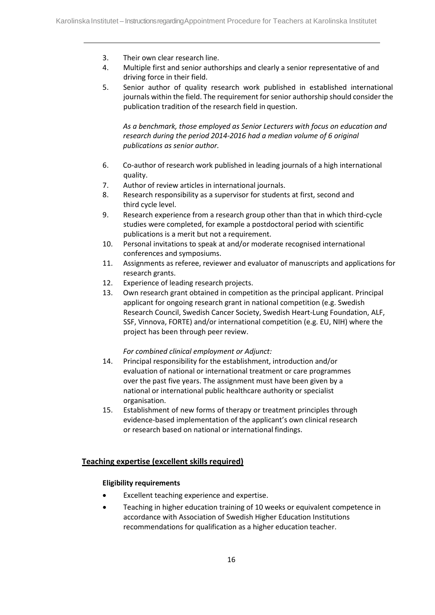- 3. Their own clear research line.
- 4. Multiple first and senior authorships and clearly a senior representative of and driving force in their field.
- 5. Senior author of quality research work published in established international journals within the field. The requirement for senior authorship should consider the publication tradition of the research field in question.

*As a benchmark, those employed as Senior Lecturers with focus on education and research during the period 2014-2016 had a median volume of 6 original publications as senior author.*

- 6. Co-author of research work published in leading journals of a high international quality.
- 7. Author of review articles in international journals.
- 8. Research responsibility as a supervisor for students at first, second and third cycle level.
- 9. Research experience from a research group other than that in which third-cycle studies were completed, for example a postdoctoral period with scientific publications is a merit but not a requirement.
- 10. Personal invitations to speak at and/or moderate recognised international conferences and symposiums.
- 11. Assignments as referee, reviewer and evaluator of manuscripts and applications for research grants.
- 12. Experience of leading research projects.
- 13. Own research grant obtained in competition as the principal applicant. Principal applicant for ongoing research grant in national competition (e.g. Swedish Research Council, Swedish Cancer Society, Swedish Heart-Lung Foundation, ALF, SSF, Vinnova, FORTE) and/or international competition (e.g. EU, NIH) where the project has been through peer review.

#### *For combined clinical employment or Adjunct:*

- 14. Principal responsibility for the establishment, introduction and/or evaluation of national or international treatment or care programmes over the past five years. The assignment must have been given by a national or international public healthcare authority or specialist organisation.
- 15. Establishment of new forms of therapy or treatment principles through evidence-based implementation of the applicant's own clinical research or research based on national or international findings.

## **Teaching expertise (excellent skills required)**

#### **Eligibility requirements**

- Excellent teaching experience and expertise.
- Teaching in higher education training of 10 weeks or equivalent competence in accordance with Association of Swedish Higher Education Institutions recommendations for qualification as a higher education teacher.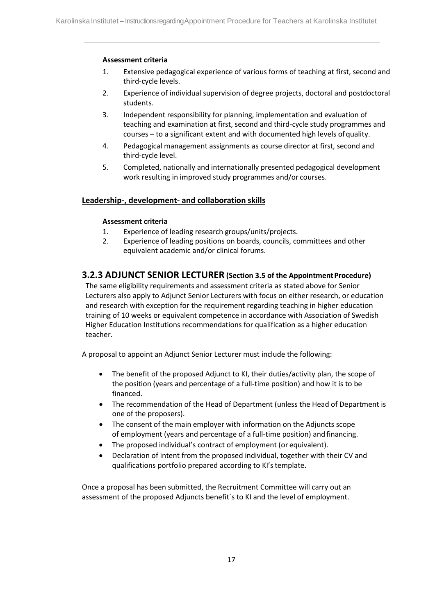- 1. Extensive pedagogical experience of various forms of teaching at first, second and third-cycle levels.
- 2. Experience of individual supervision of degree projects, doctoral and postdoctoral students.
- 3. Independent responsibility for planning, implementation and evaluation of teaching and examination at first, second and third-cycle study programmes and courses – to a significant extent and with documented high levels ofquality.
- 4. Pedagogical management assignments as course director at first, second and third-cycle level.
- 5. Completed, nationally and internationally presented pedagogical development work resulting in improved study programmes and/or courses.

## **Leadership-, development- and collaboration skills**

## **Assessment criteria**

- 1. Experience of leading research groups/units/projects.
- 2. Experience of leading positions on boards, councils, committees and other equivalent academic and/or clinical forums.

## <span id="page-17-0"></span>**3.2.3 ADJUNCT SENIOR LECTURER (Section 3.5 of the AppointmentProcedure)**

The same eligibility requirements and assessment criteria as stated above for Senior Lecturers also apply to Adjunct Senior Lecturers with focus on either research, or education and research with exception for the requirement regarding teaching in higher education training of 10 weeks or equivalent competence in accordance with Association of Swedish Higher Education Institutions recommendations for qualification as a higher education teacher.

A proposal to appoint an Adjunct Senior Lecturer must include the following:

- The benefit of the proposed Adjunct to KI, their duties/activity plan, the scope of the position (years and percentage of a full-time position) and how it is to be financed.
- The recommendation of the Head of Department (unless the Head of Department is one of the proposers).
- The consent of the main employer with information on the Adjuncts scope of employment (years and percentage of a full-time position) and financing.
- The proposed individual's contract of employment (or equivalent).
- Declaration of intent from the proposed individual, together with their CV and qualifications portfolio prepared according to KI'stemplate.

Once a proposal has been submitted, the Recruitment Committee will carry out an assessment of the proposed Adjuncts benefit´s to KI and the level of employment.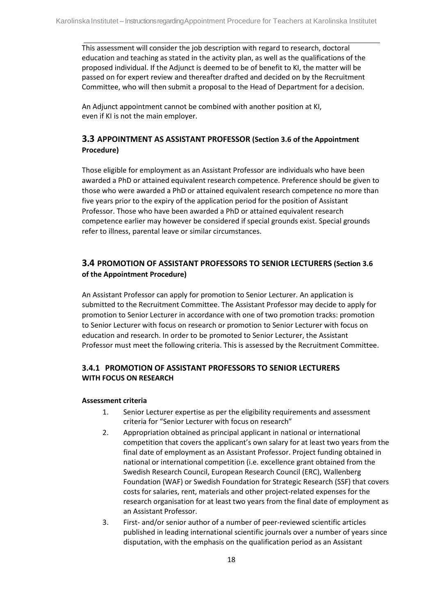This assessment will consider the job description with regard to research, doctoral education and teaching as stated in the activity plan, as well as the qualifications of the proposed individual. If the Adjunct is deemed to be of benefit to KI, the matter will be passed on for expert review and thereafter drafted and decided on by the Recruitment Committee, who will then submit a proposal to the Head of Department for a decision.

An Adjunct appointment cannot be combined with another position at KI, even if KI is not the main employer.

## **3.3 APPOINTMENT AS ASSISTANT PROFESSOR (Section 3.6 of the Appointment Procedure)**

Those eligible for employment as an Assistant Professor are individuals who have been awarded a PhD or attained equivalent research competence. Preference should be given to those who were awarded a PhD or attained equivalent research competence no more than five years prior to the expiry of the application period for the position of Assistant Professor. Those who have been awarded a PhD or attained equivalent research competence earlier may however be considered if special grounds exist. Special grounds refer to illness, parental leave or similar circumstances.

## **3.4 PROMOTION OF ASSISTANT PROFESSORS TO SENIOR LECTURERS (Section 3.6 of the Appointment Procedure)**

An Assistant Professor can apply for promotion to Senior Lecturer. An application is submitted to the Recruitment Committee. The Assistant Professor may decide to apply for promotion to Senior Lecturer in accordance with one of two promotion tracks: promotion to Senior Lecturer with focus on research or promotion to Senior Lecturer with focus on education and research. In order to be promoted to Senior Lecturer, the Assistant Professor must meet the following criteria. This is assessed by the Recruitment Committee.

## **3.4.1 PROMOTION OF ASSISTANT PROFESSORS TO SENIOR LECTURERS WITH FOCUS ON RESEARCH**

- 1. Senior Lecturer expertise as per the eligibility requirements and assessment criteria for "Senior Lecturer with focus on research"
- 2. Appropriation obtained as principal applicant in national or international competition that covers the applicant's own salary for at least two years from the final date of employment as an Assistant Professor. Project funding obtained in national or international competition (i.e. excellence grant obtained from the Swedish Research Council, European Research Council (ERC), Wallenberg Foundation (WAF) or Swedish Foundation for Strategic Research (SSF) that covers costs for salaries, rent, materials and other project-related expenses for the research organisation for at least two years from the final date of employment as an Assistant Professor.
- 3. First- and/or senior author of a number of peer-reviewed scientific articles published in leading international scientific journals over a number of years since disputation, with the emphasis on the qualification period as an Assistant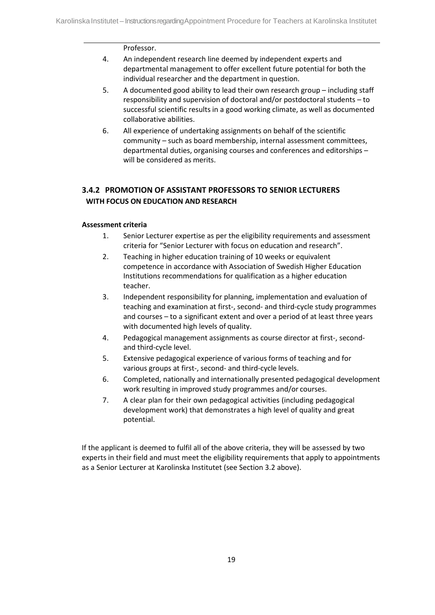#### Professor.

- 4. An independent research line deemed by independent experts and departmental management to offer excellent future potential for both the individual researcher and the department in question.
- 5. A documented good ability to lead their own research group including staff responsibility and supervision of doctoral and/or postdoctoral students – to successful scientific results in a good working climate, as well as documented collaborative abilities.
- 6. All experience of undertaking assignments on behalf of the scientific community – such as board membership, internal assessment committees, departmental duties, organising courses and conferences and editorships – will be considered as merits.

## **3.4.2 PROMOTION OF ASSISTANT PROFESSORS TO SENIOR LECTURERS WITH FOCUS ON EDUCATION AND RESEARCH**

#### **Assessment criteria**

- 1. Senior Lecturer expertise as per the eligibility requirements and assessment criteria for "Senior Lecturer with focus on education and research".
- 2. Teaching in higher education training of 10 weeks or equivalent competence in accordance with Association of Swedish Higher Education Institutions recommendations for qualification as a higher education teacher.
- 3. Independent responsibility for planning, implementation and evaluation of teaching and examination at first-, second- and third-cycle study programmes and courses – to a significant extent and over a period of at least three years with documented high levels of quality.
- 4. Pedagogical management assignments as course director at first-, secondand third-cycle level.
- 5. Extensive pedagogical experience of various forms of teaching and for various groups at first-, second- and third-cycle levels.
- 6. Completed, nationally and internationally presented pedagogical development work resulting in improved study programmes and/or courses.
- 7. A clear plan for their own pedagogical activities (including pedagogical development work) that demonstrates a high level of quality and great potential.

If the applicant is deemed to fulfil all of the above criteria, they will be assessed by two experts in their field and must meet the eligibility requirements that apply to appointments as a Senior Lecturer at Karolinska Institutet (see Section 3.2 above).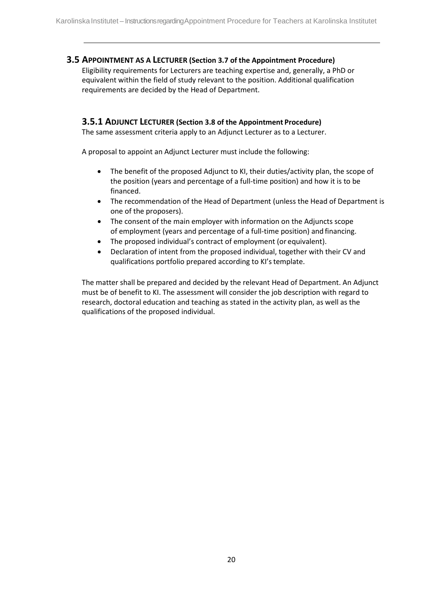## <span id="page-20-0"></span>**3.5 APPOINTMENT AS A LECTURER (Section 3.7 of the Appointment Procedure)**

Eligibility requirements for Lecturers are teaching expertise and, generally, a PhD or equivalent within the field of study relevant to the position. Additional qualification requirements are decided by the Head of Department.

## <span id="page-20-1"></span>**3.5.1 ADJUNCT LECTURER (Section 3.8 of the Appointment Procedure)**

The same assessment criteria apply to an Adjunct Lecturer as to a Lecturer.

A proposal to appoint an Adjunct Lecturer must include the following:

- The benefit of the proposed Adjunct to KI, their duties/activity plan, the scope of the position (years and percentage of a full-time position) and how it is to be financed.
- The recommendation of the Head of Department (unless the Head of Department is one of the proposers).
- The consent of the main employer with information on the Adjuncts scope of employment (years and percentage of a full-time position) and financing.
- The proposed individual's contract of employment (or equivalent).
- Declaration of intent from the proposed individual, together with their CV and qualifications portfolio prepared according to KI'stemplate.

The matter shall be prepared and decided by the relevant Head of Department. An Adjunct must be of benefit to KI. The assessment will consider the job description with regard to research, doctoral education and teaching as stated in the activity plan, as well as the qualifications of the proposed individual.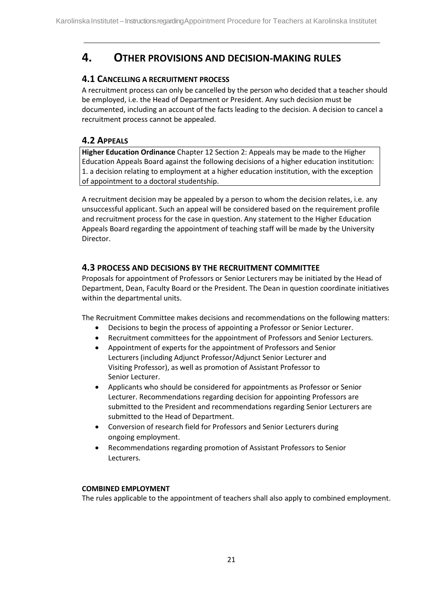## <span id="page-21-0"></span>**4. OTHER PROVISIONS AND DECISION-MAKING RULES**

## **4.1 CANCELLING A RECRUITMENT PROCESS**

A recruitment process can only be cancelled by the person who decided that a teacher should be employed, i.e. the Head of Department or President. Any such decision must be documented, including an account of the facts leading to the decision. A decision to cancel a recruitment process cannot be appealed.

## **4.2 APPEALS**

**Higher Education Ordinance** Chapter 12 Section 2: Appeals may be made to the Higher Education Appeals Board against the following decisions of a higher education institution: 1. a decision relating to employment at a higher education institution, with the exception of appointment to a doctoral studentship.

A recruitment decision may be appealed by a person to whom the decision relates, i.e. any unsuccessful applicant. Such an appeal will be considered based on the requirement profile and recruitment process for the case in question. Any statement to the Higher Education Appeals Board regarding the appointment of teaching staff will be made by the University Director.

## **4.3 PROCESS AND DECISIONS BY THE RECRUITMENT COMMITTEE**

Proposals for appointment of Professors or Senior Lecturers may be initiated by the Head of Department, Dean, Faculty Board or the President. The Dean in question coordinate initiatives within the departmental units.

The Recruitment Committee makes decisions and recommendations on the following matters:

- Decisions to begin the process of appointing a Professor or Senior Lecturer.
- Recruitment committees for the appointment of Professors and Senior Lecturers.
- Appointment of experts for the appointment of Professors and Senior Lecturers (including Adjunct Professor/Adjunct Senior Lecturer and Visiting Professor), as well as promotion of Assistant Professor to Senior Lecturer.
- Applicants who should be considered for appointments as Professor or Senior Lecturer. Recommendations regarding decision for appointing Professors are submitted to the President and recommendations regarding Senior Lecturers are submitted to the Head of Department.
- Conversion of research field for Professors and Senior Lecturers during ongoing employment.
- Recommendations regarding promotion of Assistant Professors to Senior Lecturers.

## **COMBINED EMPLOYMENT**

The rules applicable to the appointment of teachers shall also apply to combined employment.